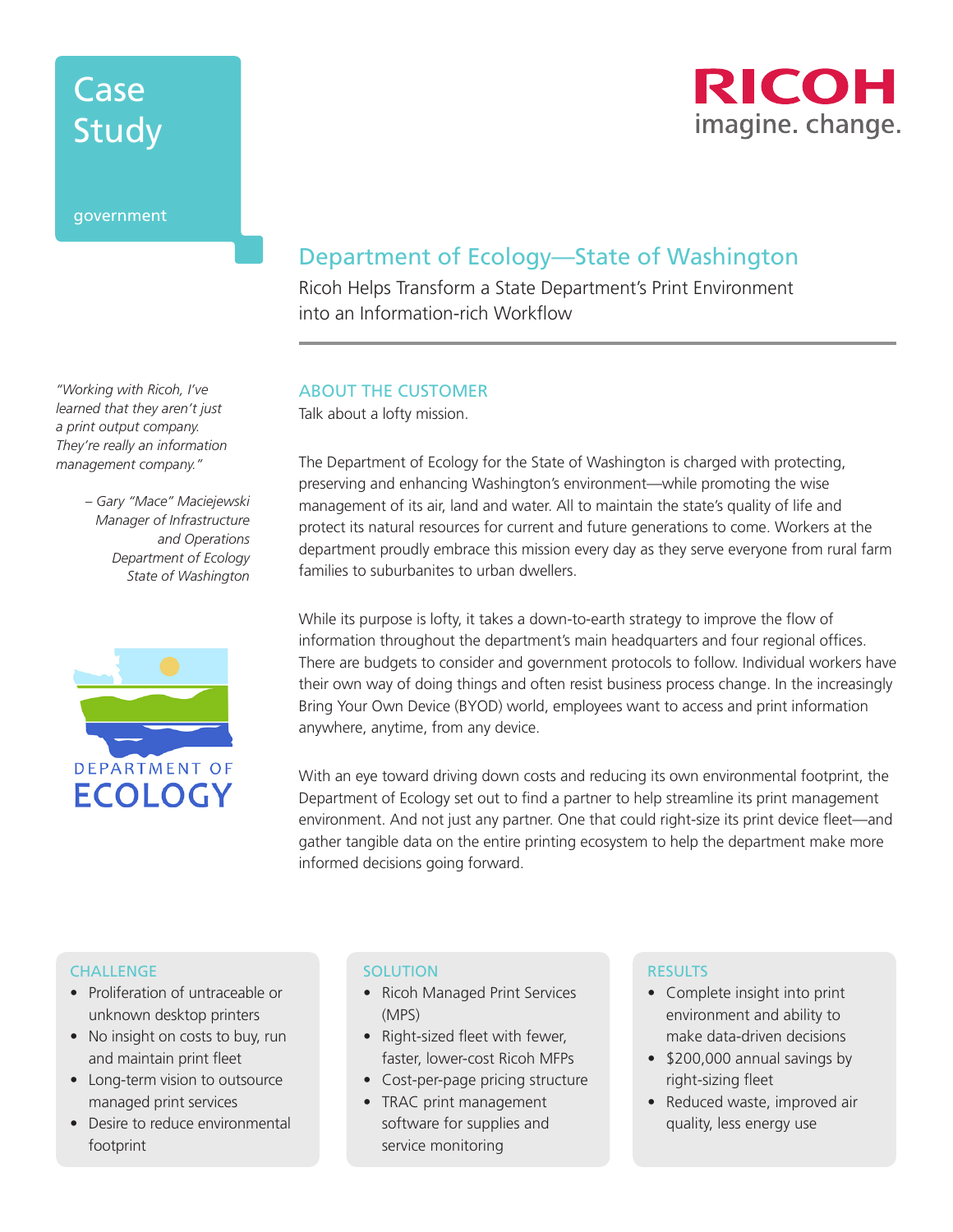# Case Study



### government

*"Working with Ricoh, I've learned that they aren't just a print output company. They're really an information management company."* 

> *– Gary "Mace" Maciejewski Manager of Infrastructure and Operations Department of Ecology State of Washington*



# Department of Ecology—State of Washington

Ricoh Helps Transform a State Department's Print Environment into an Information-rich Workflow

### ABOUT THE CUSTOMER

Talk about a lofty mission.

The Department of Ecology for the State of Washington is charged with protecting, preserving and enhancing Washington's environment—while promoting the wise management of its air, land and water. All to maintain the state's quality of life and protect its natural resources for current and future generations to come. Workers at the department proudly embrace this mission every day as they serve everyone from rural farm families to suburbanites to urban dwellers.

While its purpose is lofty, it takes a down-to-earth strategy to improve the flow of information throughout the department's main headquarters and four regional offices. There are budgets to consider and government protocols to follow. Individual workers have their own way of doing things and often resist business process change. In the increasingly Bring Your Own Device (BYOD) world, employees want to access and print information anywhere, anytime, from any device.

With an eye toward driving down costs and reducing its own environmental footprint, the Department of Ecology set out to find a partner to help streamline its print management environment. And not just any partner. One that could right-size its print device fleet—and gather tangible data on the entire printing ecosystem to help the department make more informed decisions going forward.

#### **CHALLENGE**

- Proliferation of untraceable or unknown desktop printers
- No insight on costs to buy, run and maintain print fleet
- Long-term vision to outsource managed print services
- Desire to reduce environmental footprint

### **SOLUTION**

- Ricoh Managed Print Services (MPS)
- Right-sized fleet with fewer, faster, lower-cost Ricoh MFPs
- Cost-per-page pricing structure
- TRAC print management software for supplies and service monitoring

#### RESULTS

- Complete insight into print environment and ability to make data-driven decisions
- \$200,000 annual savings by right-sizing fleet
- Reduced waste, improved air quality, less energy use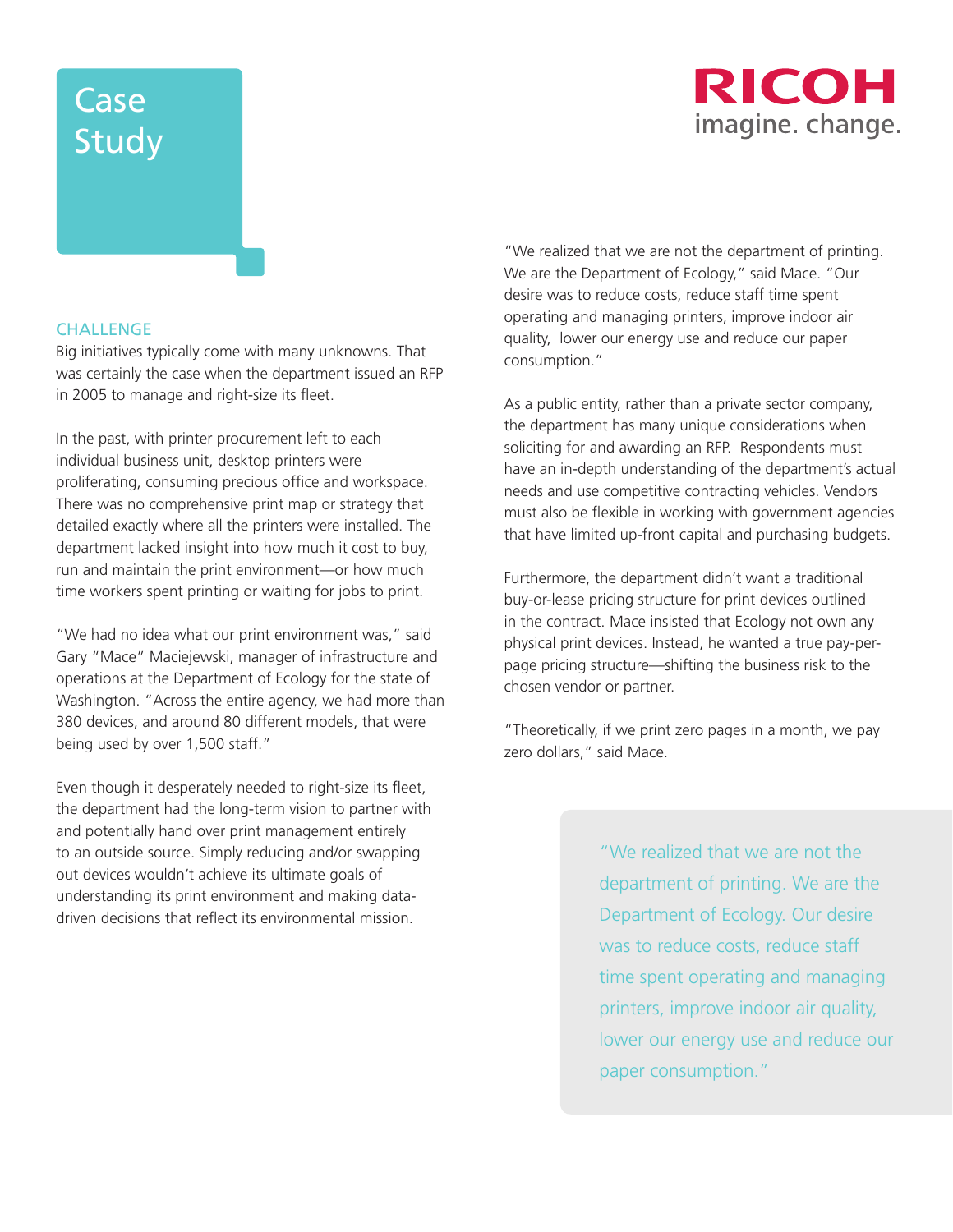# Case **Study**



### **CHALLENGE**

Big initiatives typically come with many unknowns. That was certainly the case when the department issued an RFP in 2005 to manage and right-size its fleet.

In the past, with printer procurement left to each individual business unit, desktop printers were proliferating, consuming precious office and workspace. There was no comprehensive print map or strategy that detailed exactly where all the printers were installed. The department lacked insight into how much it cost to buy, run and maintain the print environment—or how much time workers spent printing or waiting for jobs to print.

"We had no idea what our print environment was," said Gary "Mace" Maciejewski, manager of infrastructure and operations at the Department of Ecology for the state of Washington. "Across the entire agency, we had more than 380 devices, and around 80 different models, that were being used by over 1,500 staff."

Even though it desperately needed to right-size its fleet, the department had the long-term vision to partner with and potentially hand over print management entirely to an outside source. Simply reducing and/or swapping out devices wouldn't achieve its ultimate goals of understanding its print environment and making datadriven decisions that reflect its environmental mission.

"We realized that we are not the department of printing. We are the Department of Ecology," said Mace. "Our desire was to reduce costs, reduce staff time spent operating and managing printers, improve indoor air quality, lower our energy use and reduce our paper consumption."

As a public entity, rather than a private sector company, the department has many unique considerations when soliciting for and awarding an RFP. Respondents must have an in-depth understanding of the department's actual needs and use competitive contracting vehicles. Vendors must also be flexible in working with government agencies that have limited up-front capital and purchasing budgets.

Furthermore, the department didn't want a traditional buy-or-lease pricing structure for print devices outlined in the contract. Mace insisted that Ecology not own any physical print devices. Instead, he wanted a true pay-perpage pricing structure—shifting the business risk to the chosen vendor or partner.

"Theoretically, if we print zero pages in a month, we pay zero dollars," said Mace.

> "We realized that we are not the department of printing. We are the Department of Ecology. Our desire was to reduce costs, reduce staff time spent operating and managing printers, improve indoor air quality, lower our energy use and reduce our paper consumption."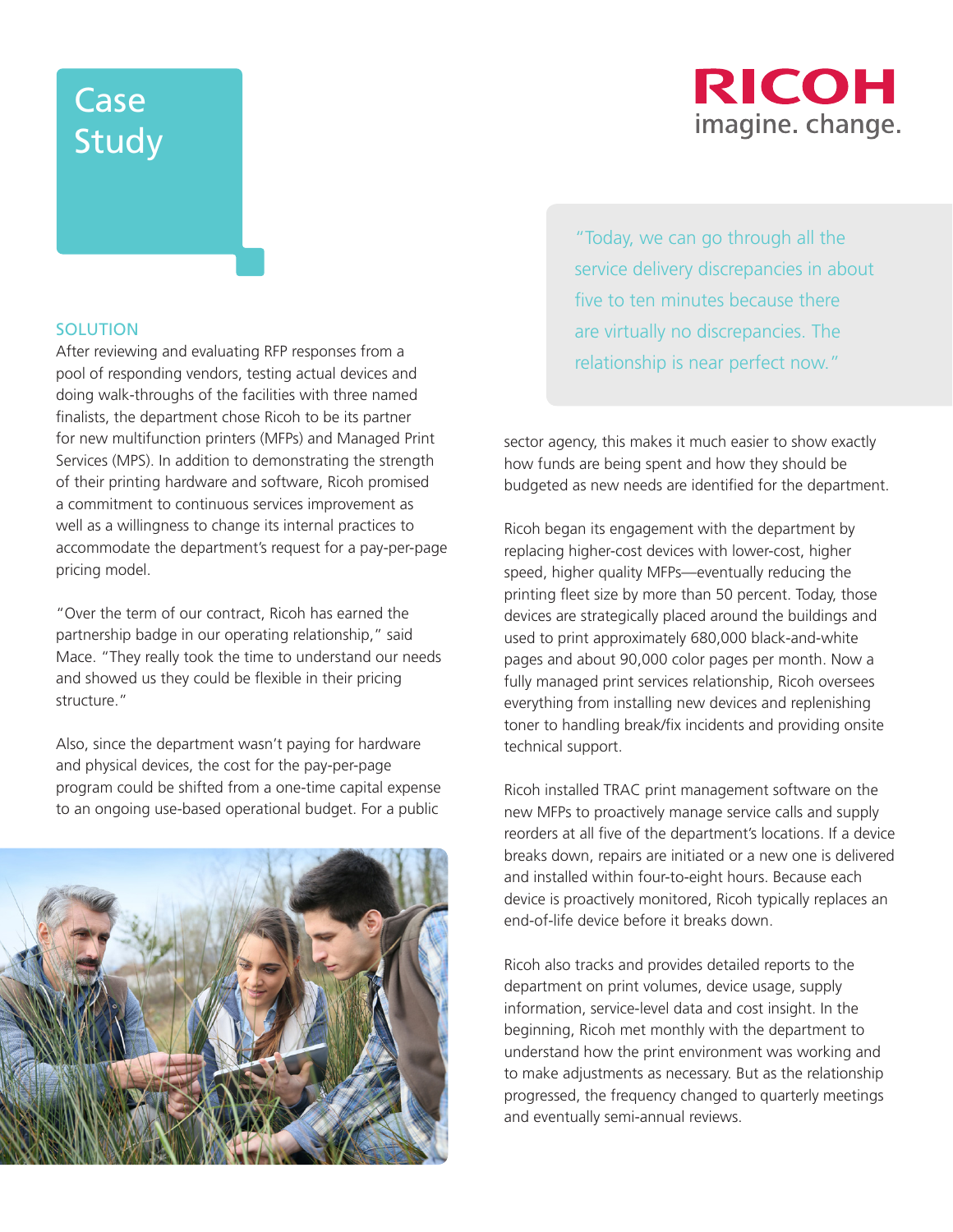# RICOH imagine. change.

# **Case** Study

### SOLUTION

After reviewing and evaluating RFP responses from a pool of responding vendors, testing actual devices and doing walk-throughs of the facilities with three named finalists, the department chose Ricoh to be its partner for new multifunction printers (MFPs) and Managed Print Services (MPS). In addition to demonstrating the strength of their printing hardware and software, Ricoh promised a commitment to continuous services improvement as well as a willingness to change its internal practices to accommodate the department's request for a pay-per-page pricing model.

"Over the term of our contract, Ricoh has earned the partnership badge in our operating relationship," said Mace. "They really took the time to understand our needs and showed us they could be flexible in their pricing structure."

Also, since the department wasn't paying for hardware and physical devices, the cost for the pay-per-page program could be shifted from a one-time capital expense to an ongoing use-based operational budget. For a public



"Today, we can go through all the service delivery discrepancies in about five to ten minutes because there are virtually no discrepancies. The relationship is near perfect now."

sector agency, this makes it much easier to show exactly how funds are being spent and how they should be budgeted as new needs are identified for the department.

Ricoh began its engagement with the department by replacing higher-cost devices with lower-cost, higher speed, higher quality MFPs—eventually reducing the printing fleet size by more than 50 percent. Today, those devices are strategically placed around the buildings and used to print approximately 680,000 black-and-white pages and about 90,000 color pages per month. Now a fully managed print services relationship, Ricoh oversees everything from installing new devices and replenishing toner to handling break/fix incidents and providing onsite technical support.

Ricoh installed TRAC print management software on the new MFPs to proactively manage service calls and supply reorders at all five of the department's locations. If a device breaks down, repairs are initiated or a new one is delivered and installed within four-to-eight hours. Because each device is proactively monitored, Ricoh typically replaces an end-of-life device before it breaks down.

Ricoh also tracks and provides detailed reports to the department on print volumes, device usage, supply information, service-level data and cost insight. In the beginning, Ricoh met monthly with the department to understand how the print environment was working and to make adjustments as necessary. But as the relationship progressed, the frequency changed to quarterly meetings and eventually semi-annual reviews.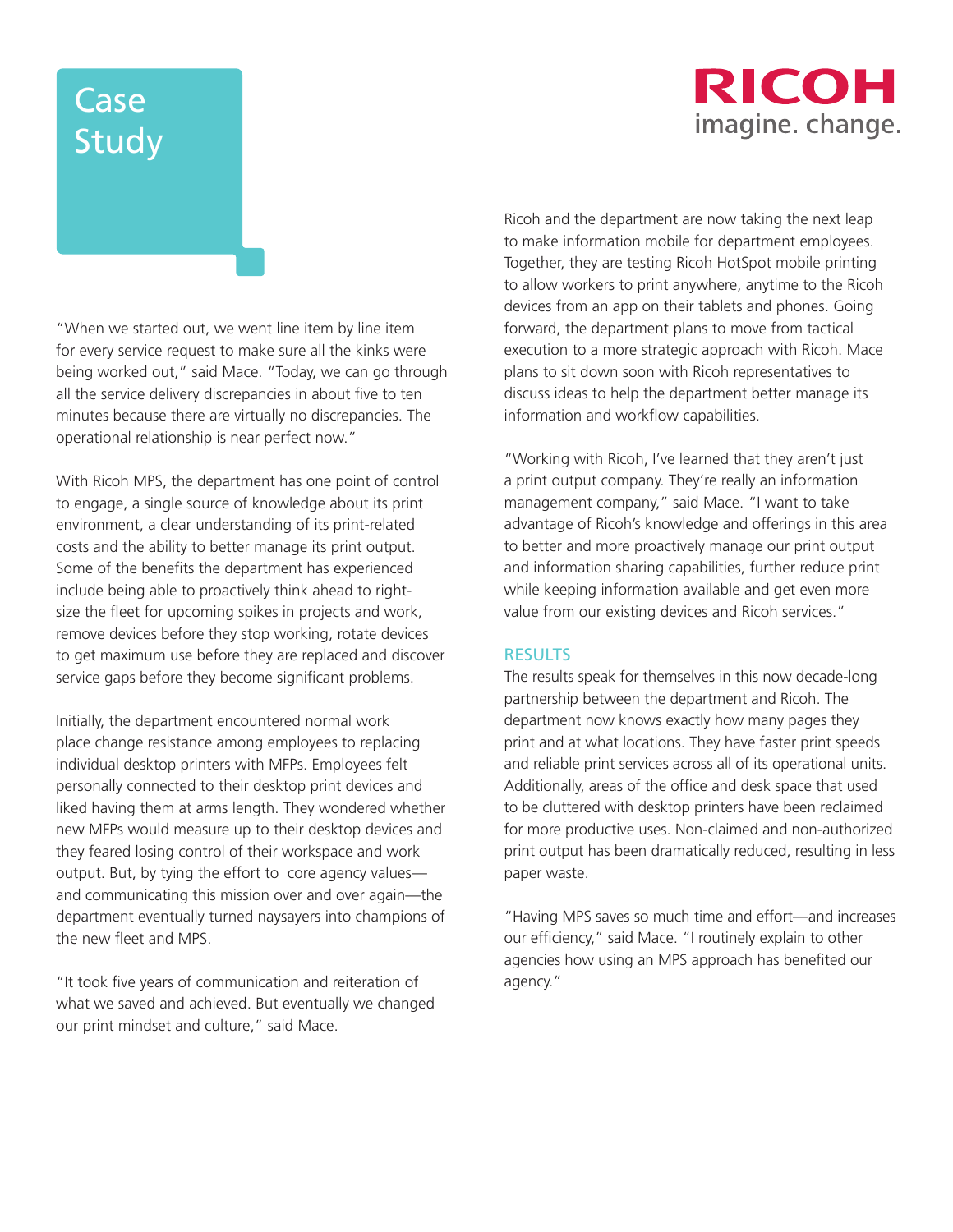# RICOH imagine. change.

# Case **Study**

"When we started out, we went line item by line item for every service request to make sure all the kinks were being worked out," said Mace. "Today, we can go through all the service delivery discrepancies in about five to ten minutes because there are virtually no discrepancies. The operational relationship is near perfect now."

With Ricoh MPS, the department has one point of control to engage, a single source of knowledge about its print environment, a clear understanding of its print-related costs and the ability to better manage its print output. Some of the benefits the department has experienced include being able to proactively think ahead to rightsize the fleet for upcoming spikes in projects and work, remove devices before they stop working, rotate devices to get maximum use before they are replaced and discover service gaps before they become significant problems.

Initially, the department encountered normal work place change resistance among employees to replacing individual desktop printers with MFPs. Employees felt personally connected to their desktop print devices and liked having them at arms length. They wondered whether new MFPs would measure up to their desktop devices and they feared losing control of their workspace and work output. But, by tying the effort to core agency values and communicating this mission over and over again—the department eventually turned naysayers into champions of the new fleet and MPS.

"It took five years of communication and reiteration of what we saved and achieved. But eventually we changed our print mindset and culture," said Mace.

Ricoh and the department are now taking the next leap to make information mobile for department employees. Together, they are testing Ricoh HotSpot mobile printing to allow workers to print anywhere, anytime to the Ricoh devices from an app on their tablets and phones. Going forward, the department plans to move from tactical execution to a more strategic approach with Ricoh. Mace plans to sit down soon with Ricoh representatives to discuss ideas to help the department better manage its information and workflow capabilities.

"Working with Ricoh, I've learned that they aren't just a print output company. They're really an information management company," said Mace. "I want to take advantage of Ricoh's knowledge and offerings in this area to better and more proactively manage our print output and information sharing capabilities, further reduce print while keeping information available and get even more value from our existing devices and Ricoh services."

### RESULTS

The results speak for themselves in this now decade-long partnership between the department and Ricoh. The department now knows exactly how many pages they print and at what locations. They have faster print speeds and reliable print services across all of its operational units. Additionally, areas of the office and desk space that used to be cluttered with desktop printers have been reclaimed for more productive uses. Non-claimed and non-authorized print output has been dramatically reduced, resulting in less paper waste.

"Having MPS saves so much time and effort—and increases our efficiency," said Mace. "I routinely explain to other agencies how using an MPS approach has benefited our agency."